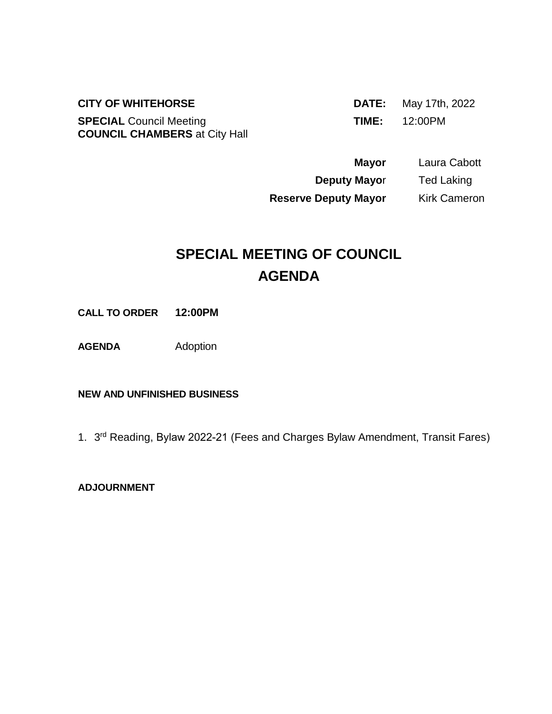**CITY OF WHITEHORSE SPECIAL** Council Meeting **COUNCIL CHAMBERS** at City Hall

**DATE:** May 17th, 2022 **TIME:** 12:00PM

**Mayor** Laura Cabott **Deputy Mayor** Ted Laking **Reserve Deputy Mayor** Kirk Cameron

## **SPECIAL MEETING OF COUNCIL AGENDA**

**CALL TO ORDER 12:00PM**

**AGENDA** Adoption

## **NEW AND UNFINISHED BUSINESS**

1. 3<sup>rd</sup> Reading, Bylaw 2022-21 (Fees and Charges Bylaw Amendment, Transit Fares)

**ADJOURNMENT**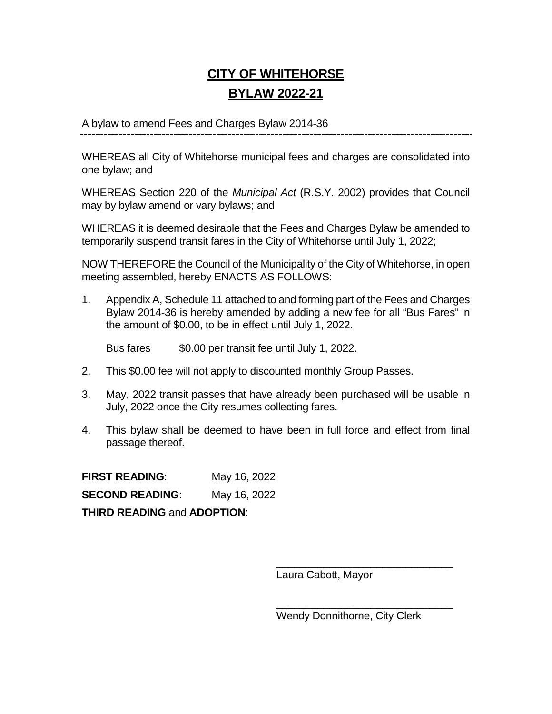## **CITY OF WHITEHORSE BYLAW 2022-21**

A bylaw to amend Fees and Charges Bylaw 2014-36

WHEREAS all City of Whitehorse municipal fees and charges are consolidated into one bylaw; and

WHEREAS Section 220 of the *Municipal Act* (R.S.Y. 2002) provides that Council may by bylaw amend or vary bylaws; and

WHEREAS it is deemed desirable that the Fees and Charges Bylaw be amended to temporarily suspend transit fares in the City of Whitehorse until July 1, 2022;

NOW THEREFORE the Council of the Municipality of the City of Whitehorse, in open meeting assembled, hereby ENACTS AS FOLLOWS:

1. Appendix A, Schedule 11 attached to and forming part of the Fees and Charges Bylaw 2014-36 is hereby amended by adding a new fee for all "Bus Fares" in the amount of \$0.00, to be in effect until July 1, 2022.

Bus fares \$0.00 per transit fee until July 1, 2022.

- 2. This \$0.00 fee will not apply to discounted monthly Group Passes.
- 3. May, 2022 transit passes that have already been purchased will be usable in July, 2022 once the City resumes collecting fares.
- 4. This bylaw shall be deemed to have been in full force and effect from final passage thereof.

**FIRST READING**: May 16, 2022

**SECOND READING**: May 16, 2022

**THIRD READING** and **ADOPTION**:

Laura Cabott, Mayor

\_\_\_\_\_\_\_\_\_\_\_\_\_\_\_\_\_\_\_\_\_\_\_\_\_\_\_\_\_\_ Wendy Donnithorne, City Clerk

\_\_\_\_\_\_\_\_\_\_\_\_\_\_\_\_\_\_\_\_\_\_\_\_\_\_\_\_\_\_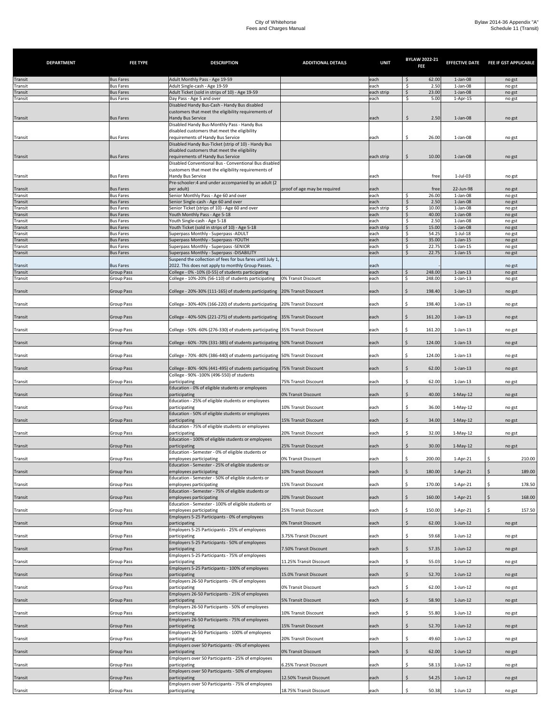| <b>DEPARTMENT</b>  | <b>FEE TYPE</b>                        | <b>DESCRIPTION</b>                                                                                                                       | <b>ADDITIONAL DETAILS</b>                    | <b>UNIT</b>        | <b>BYLAW 2022-21</b><br>FEE  | <b>EFFECTIVE DATE</b>            | <b>FEE IF GST APPLICABLE</b> |
|--------------------|----------------------------------------|------------------------------------------------------------------------------------------------------------------------------------------|----------------------------------------------|--------------------|------------------------------|----------------------------------|------------------------------|
| Transit            | <b>Bus Fares</b>                       | Adult Monthly Pass - Age 19-59                                                                                                           |                                              | each               | \$<br>62.00                  | $1-Jan-08$                       | no gst                       |
| Transit            | <b>Bus Fares</b>                       | Adult Single-cash - Age 19-59                                                                                                            |                                              | each               | \$<br>2.50                   | $1-Jan-08$                       | no gst                       |
| Transit            | <b>Bus Fares</b>                       | Adult Ticket (sold in strips of 10) - Age 19-59                                                                                          |                                              | each strip         | \$<br>23.00                  | $1-Jan-08$                       | no gst                       |
| Transit            | <b>Bus Fares</b>                       | Day Pass - Age 5 and over                                                                                                                |                                              | each               | 5.00<br>\$                   | 1-Apr-15                         | no gst                       |
| Transit            | <b>Bus Fares</b>                       | Disabled Handy Bus-Cash - Handy Bus disabled<br>customers that meet the eligibility requirements of<br>Handy Bus Service                 |                                              | each               | \$<br>2.50                   | $1$ -Jan- $08$                   | no gst                       |
|                    |                                        | Disabled Handy Bus-Monthly Pass - Handy Bus<br>disabled customers that meet the eligibility                                              |                                              |                    |                              |                                  |                              |
| Transit            | <b>Bus Fares</b>                       | requirements of Handy Bus Service<br>Disabled Handy Bus-Ticket (strip of 10) - Handy Bus<br>disabled customers that meet the eligibility |                                              | each               | \$<br>26.00                  | $1$ -Jan- $08$                   | no gst                       |
| Transit            | <b>Bus Fares</b>                       | requirements of Handy Bus Service<br>Disabled Conventional Bus - Conventional Bus disabled                                               |                                              | each strip         | \$<br>10.00                  | $1$ -Jan- $08$                   | no gst                       |
| Transit            | <b>Bus Fares</b>                       | customers that meet the eligibility requirements of<br><b>Handy Bus Service</b><br>Pre-schooler:4 and under accompanied by an adult (2   |                                              | each               | free                         | 1-Jul-03                         | no gst                       |
| Transit            | <b>Bus Fares</b>                       | per adult)                                                                                                                               | proof of age may be required                 | each               | free                         | 22-Jun-98                        | no gst                       |
| Transit            | <b>Bus Fares</b>                       | Senior Monthly Pass - Age 60 and over                                                                                                    |                                              | each               | \$<br>26.00                  | $1-Jan-08$                       | no gst                       |
| Transit<br>Transit | <b>Bus Fares</b><br><b>Bus Fares</b>   | Senior Single-cash - Age 60 and over<br>Senior Ticket (strips of 10) - Age 60 and over                                                   |                                              | each<br>each strip | \$<br>2.50<br>\$<br>10.00    | $1-Jan-08$<br>$1$ -Jan- $08$     | no gst                       |
| Transit            | <b>Bus Fares</b>                       | Youth Monthly Pass - Age 5-18                                                                                                            |                                              | each               | \$<br>40.00                  | $1$ -Jan- $08$                   | no gst<br>no gst             |
| Transit            | <b>Bus Fares</b>                       | Youth Single-cash - Age 5-18                                                                                                             |                                              | each               | \$<br>2.50                   | $1$ -Jan-08                      | no gst                       |
| Transit            | <b>Bus Fares</b>                       | Youth Ticket (sold in strips of 10) - Age 5-18                                                                                           |                                              | each strip         | \$<br>15.00                  | 1-Jan-08                         | no gst                       |
| Transit<br>Transit | <b>Bus Fares</b><br><b>Bus Fares</b>   | Superpass Monthly - Superpass -ADULT<br>Superpass Monthly - Superpass - YOUTH                                                            |                                              | each<br>each       | \$<br>54.25<br>\$<br>35.00   | $1-Jul-18$<br>$1$ -Jan- $15$     | no gst<br>no gst             |
| Transit            | <b>Bus Fares</b>                       | Superpass Monthly - Superpass -SENIOR                                                                                                    |                                              | each               | \$<br>22.75                  | $1$ -Jan- $15$                   | no gst                       |
| Transit            | <b>Bus Fares</b>                       | Superpass Monthly - Superpass -DISABILITY                                                                                                |                                              | each               | \$<br>22.75                  | $1$ -Jan- $15$                   | no gst                       |
|                    | <b>Bus Fares</b>                       | Suspend the collection of fees for bus fares until July 1,                                                                               |                                              | each               |                              |                                  |                              |
| Transit<br>Transit | <b>Group Pass</b>                      | 2022. This does not apply to monthly Group Passes.<br>College - 0% -10% (0-55) of students participating                                 |                                              | each               | \$<br>248.00                 | $1$ -Jan- $13$                   | no gst<br>no gst             |
| Transit            | <b>Group Pass</b>                      | College - 10%-20% (56-110) of students participating                                                                                     | 0% Transit Discount                          | each               | \$<br>248.00                 | $1$ -Jan- $13$                   | no gst                       |
| Transit            | <b>Group Pass</b>                      | College - 20%-30% (111-165) of students participating                                                                                    | 20% Transit Discount                         | each               | \$<br>198.40                 | $1$ -Jan- $13$                   | no gst                       |
| Transit            | Group Pass                             | College - 30%-40% (166-220) of students participating 20% Transit Discount                                                               |                                              | each               | \$<br>198.40                 | $1$ -Jan- $13$                   | no gst                       |
| Transit            | Group Pass                             | College - 40%-50% (221-275) of students participating 35% Transit Discount                                                               |                                              | each               | Ś<br>161.20                  | $1$ -Jan- $13$                   | no gst                       |
| Transit            | Group Pass                             | College - 50% -60% (276-330) of students participating 35% Transit Discount                                                              |                                              | each               | \$<br>161.20                 | $1$ -Jan- $13$                   | no gst                       |
| Transit            | <b>Group Pass</b>                      | College - 60% -70% (331-385) of students participating 50% Transit Discount                                                              |                                              | each               | Ś<br>124.00                  | $1$ -Jan- $13$                   | no gst                       |
| Transit            | Group Pass                             | College - 70% -80% (386-440) of students participating 50% Transit Discount                                                              |                                              | each               | \$<br>124.00                 | $1$ -Jan- $13$                   | no gst                       |
| Transit            | Group Pass                             | College - 80% -90% (441-495) of students participating 75% Transit Discount<br>College - 90% -100% (496-550) of students                 |                                              | each               | \$<br>62.00                  | $1$ -Jan- $13$                   | no gst                       |
| Transit            | Group Pass                             | participating<br>Education - 0% of eligible students or employees                                                                        | 75% Transit Discount                         | each               | \$<br>62.00                  | 1-Jan-13                         | no gst                       |
| Transit            | Group Pass                             | participating<br>Education - 25% of eligible students or employees                                                                       | 0% Transit Discount                          | each               | \$<br>40.00                  | $1-May-12$                       | no gst                       |
| Transit            | Group Pass                             | participating                                                                                                                            | 10% Transit Discount                         | each               | \$<br>36.00                  | 1-May-12                         | no gst                       |
| Transit            | Group Pass                             | Education - 50% of eligible students or employees<br>participating<br>Education - 75% of eligible students or employees                  | 15% Transit Discount                         | each               | \$<br>34.00                  | 1-May-12                         | no gst                       |
| Transit            | <b>Group Pass</b>                      | participating<br>Education - 100% of eligible students or employees                                                                      | 20% Transit Discount                         | each               | \$<br>32.00                  | $1-May-12$                       | no gst                       |
| Transit            | <b>Group Pass</b><br><b>Group Pass</b> | participating<br>Education - Semester - 0% of eligible students or<br>employees participating                                            | 25% Transit Discount                         | each               | \$<br>30.00<br>\$            | $1-May-12$                       | no gst<br>Ś<br>210.00        |
| Transit            |                                        | Education - Semester - 25% of eligible students or                                                                                       | 0% Transit Discount                          | ∍ach               | 200.00                       | $1-Apr-21$                       |                              |
| Transit<br>Transit | Group Pass<br>Group Pass               | employees participating<br>Education - Semester - 50% of eligible students or<br>employees participating                                 | 10% Transit Discount<br>15% Transit Discount | each<br>each       | \$<br>180.00<br>\$<br>170.00 | 1-Apr-21<br>1-Apr-21             | \$<br>189.00<br>\$<br>178.50 |
|                    |                                        | Education - Semester - 75% of eligible students or                                                                                       |                                              |                    |                              |                                  |                              |
| Transit            | Group Pass                             | employees participating<br>Education - Semester - 100% of eligible students or                                                           | 20% Transit Discount                         | each               | \$<br>160.00                 | $1-Apr-21$                       | $\zeta$<br>168.00            |
| Transit            | Group Pass                             | employees participating<br>Employers 5-25 Participants - 0% of employees                                                                 | 25% Transit Discount<br>0% Transit Discount  | each               | \$<br>150.00                 | 1-Apr-21                         | \$<br>157.50                 |
| Transit<br>Transit | Group Pass<br>Group Pass               | participating<br>Employers 5-25 Participants - 25% of employees<br>participating                                                         | 3.75% Transit Discount                       | each<br>each       | \$<br>62.00<br>\$<br>59.68   | $1$ -Jun- $12$<br>$1$ -Jun- $12$ | no gst<br>no gst             |
| Transit            | Group Pass                             | Employers 5-25 Participants - 50% of employees<br>participating                                                                          | 7.50% Transit Discount                       | each               | \$<br>57.35                  | $1$ -Jun- $12$                   | no gst                       |
| Transit            | Group Pass                             | Employers 5-25 Participants - 75% of employees<br>participating                                                                          | 11.25% Transit Discount                      | each               | \$<br>55.03                  | $1-Jun-12$                       | no gst                       |
| Transit            | Group Pass                             | Employers 5-25 Participants - 100% of employees<br>participating                                                                         | 15.0% Transit Discount                       | each               | \$<br>52.70                  | $1$ -Jun- $12$                   | no gst                       |
| Transit            | Group Pass                             | Employers 26-50 Participants - 0% of employees<br>participating                                                                          | 0% Transit Discount                          | each               | \$<br>62.00                  | $1$ -Jun- $12$                   | no gst                       |
| Transit            | <b>Group Pass</b>                      | Employers 26-50 Participants - 25% of employees<br>participating                                                                         | 5% Transit Discount                          | each               | \$<br>58.90                  | $1$ -Jun- $12$                   | no gst                       |
| Transit            | Group Pass                             | Employers 26-50 Participants - 50% of employees<br>participating<br>Employers 26-50 Participants - 75% of employees                      | 10% Transit Discount                         | each               | \$<br>55.80                  | $1$ -Jun- $12$                   | no gst                       |
| Transit            | Group Pass                             | participating<br>Employers 26-50 Participants - 100% of employees                                                                        | 15% Transit Discount                         | each               | \$<br>52.70                  | $1$ -Jun- $12$                   | no gst                       |
| Transit            | Group Pass                             | participating<br>Employers over 50 Participants - 0% of employees                                                                        | 20% Transit Discount                         | each               | \$<br>49.60                  | $1$ -Jun- $12$                   | no gst                       |
| Transit            | Group Pass                             | participating<br>Employers over 50 Participants - 25% of employees                                                                       | 0% Transit Discount                          | each               | \$<br>62.00                  | $1$ -Jun- $12$                   | no gst                       |
| Transit            | Group Pass                             | participating<br>Employers over 50 Participants - 50% of employees                                                                       | 6.25% Transit Discount                       | each               | \$<br>58.13                  | $1$ -Jun- $12$                   | no gst                       |
| Transit            | Group Pass                             | participating<br>Employers over 50 Participants - 75% of employees                                                                       | 12.50% Transit Discount                      | each               | \$<br>54.25                  | $1$ -Jun- $12$                   | no gst                       |
| Transit            | Group Pass                             | participating                                                                                                                            | 18.75% Transit Discount                      | each               | \$<br>50.38                  | $1-Jun-12$                       | no gst                       |